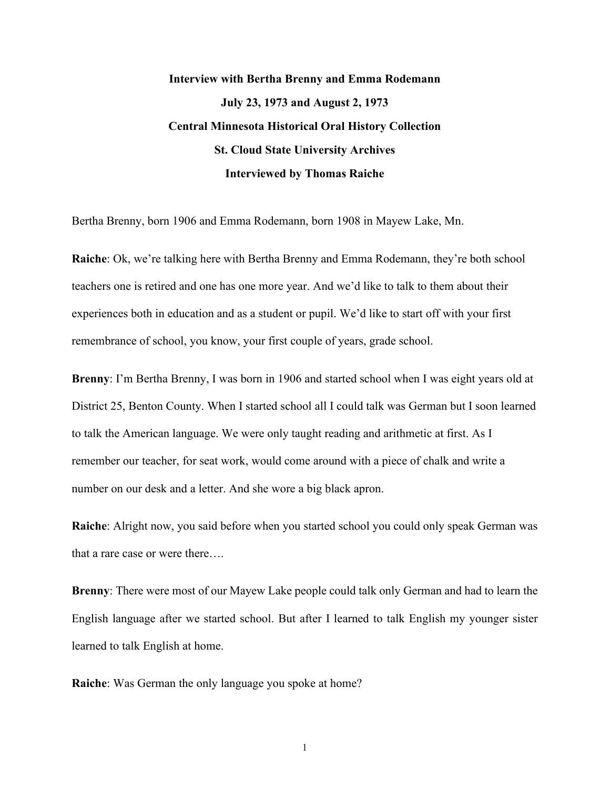# **Interview with Bertha Brenny and Emma Rodemann July 23, 1973 and August 2, 1973 Central Minnesota Historical Oral History Collection St. Cloud State University Archives Interviewed by Thomas Raiche**

Bertha Brenny, born 1906 and Emma Rodemann, born 1908 in Mayew Lake, Mn.

**Raiche**: Ok, we're talking here with Bertha Brenny and Emma Rodemann, they're both school teachers one is retired and one has one more year. And we'd like to talk to them about their experiences both in education and as a student or pupil. We'd like to start off with your first remembrance of school, you know, your first couple of years, grade school.

**Brenny**: I'm Bertha Brenny, I was born in 1906 and started school when I was eight years old at District 25, Benton County. When I started school all I could talk was German but I soon learned to talk the American language. We were only taught reading and arithmetic at first. As I remember our teacher, for seat work, would come around with a piece of chalk and write a number on our desk and a letter. And she wore a big black apron.

**Raiche**: Alright now, you said before when you started school you could only speak German was that a rare case or were there….

**Brenny**: There were most of our Mayew Lake people could talk only German and had to learn the English language after we started school. But after I learned to talk English my younger sister learned to talk English at home.

**Raiche**: Was German the only language you spoke at home?

1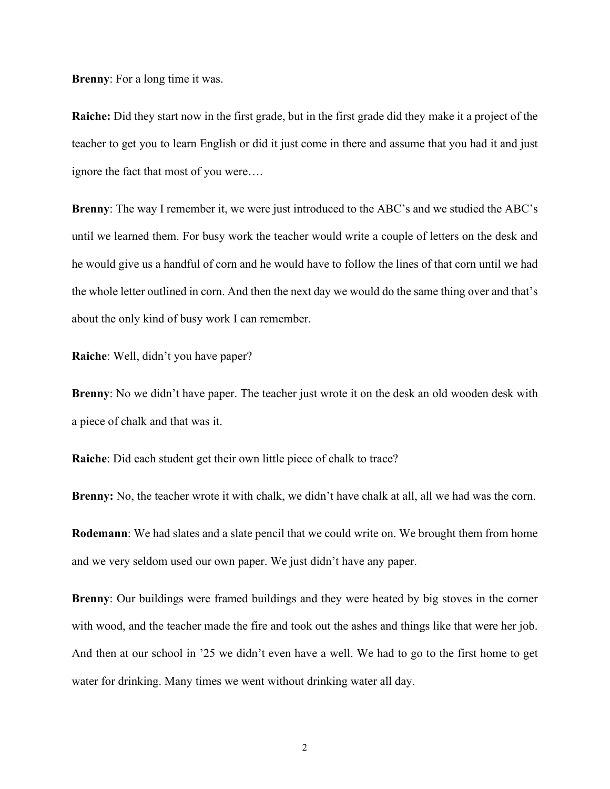**Brenny**: For a long time it was.

**Raiche:** Did they start now in the first grade, but in the first grade did they make it a project of the teacher to get you to learn English or did it just come in there and assume that you had it and just ignore the fact that most of you were….

**Brenny**: The way I remember it, we were just introduced to the ABC's and we studied the ABC's until we learned them. For busy work the teacher would write a couple of letters on the desk and he would give us a handful of corn and he would have to follow the lines of that corn until we had the whole letter outlined in corn. And then the next day we would do the same thing over and that's about the only kind of busy work I can remember.

**Raiche**: Well, didn't you have paper?

**Brenny**: No we didn't have paper. The teacher just wrote it on the desk an old wooden desk with a piece of chalk and that was it.

**Raiche**: Did each student get their own little piece of chalk to trace?

**Brenny:** No, the teacher wrote it with chalk, we didn't have chalk at all, all we had was the corn.

**Rodemann:** We had slates and a slate pencil that we could write on. We brought them from home and we very seldom used our own paper. We just didn't have any paper.

**Brenny**: Our buildings were framed buildings and they were heated by big stoves in the corner with wood, and the teacher made the fire and took out the ashes and things like that were her job. And then at our school in '25 we didn't even have a well. We had to go to the first home to get water for drinking. Many times we went without drinking water all day.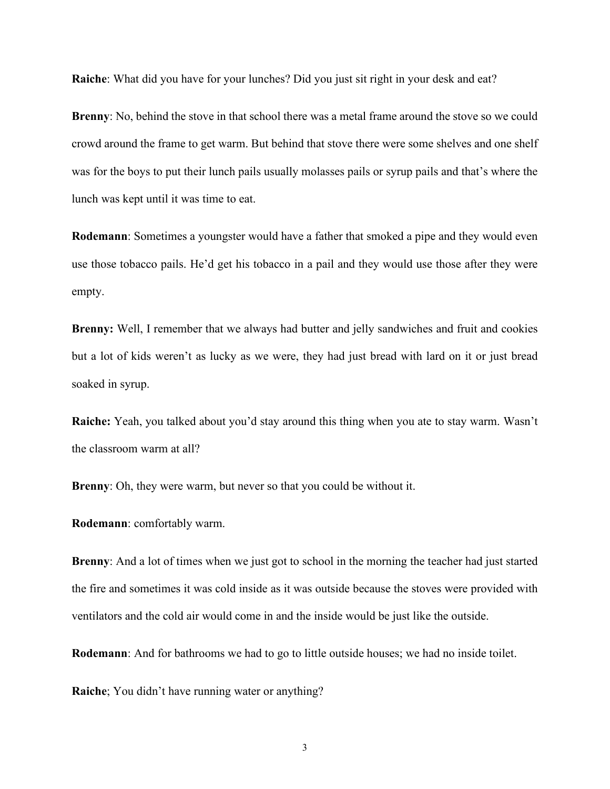**Raiche**: What did you have for your lunches? Did you just sit right in your desk and eat?

**Brenny**: No, behind the stove in that school there was a metal frame around the stove so we could crowd around the frame to get warm. But behind that stove there were some shelves and one shelf was for the boys to put their lunch pails usually molasses pails or syrup pails and that's where the lunch was kept until it was time to eat.

**Rodemann**: Sometimes a youngster would have a father that smoked a pipe and they would even use those tobacco pails. He'd get his tobacco in a pail and they would use those after they were empty.

**Brenny:** Well, I remember that we always had butter and jelly sandwiches and fruit and cookies but a lot of kids weren't as lucky as we were, they had just bread with lard on it or just bread soaked in syrup.

**Raiche:** Yeah, you talked about you'd stay around this thing when you ate to stay warm. Wasn't the classroom warm at all?

**Brenny**: Oh, they were warm, but never so that you could be without it.

**Rodemann**: comfortably warm.

**Brenny**: And a lot of times when we just got to school in the morning the teacher had just started the fire and sometimes it was cold inside as it was outside because the stoves were provided with ventilators and the cold air would come in and the inside would be just like the outside.

**Rodemann**: And for bathrooms we had to go to little outside houses; we had no inside toilet.

**Raiche**; You didn't have running water or anything?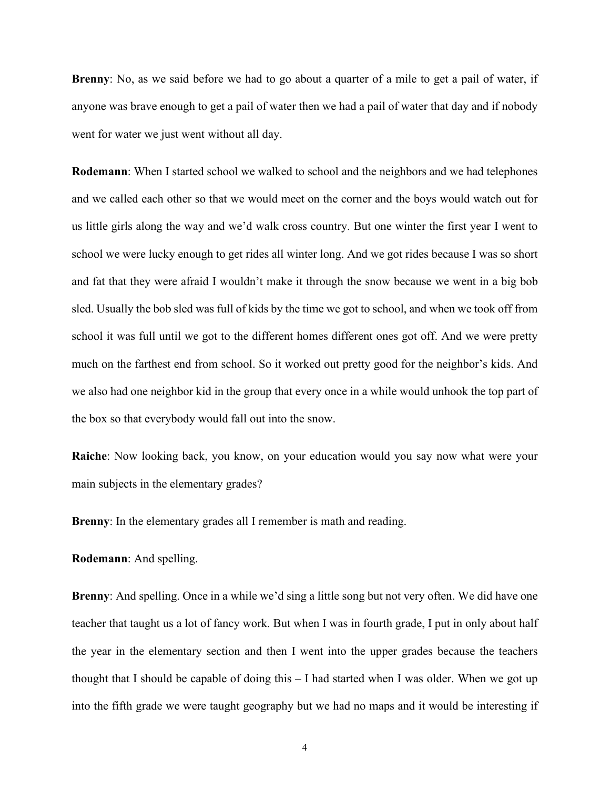**Brenny**: No, as we said before we had to go about a quarter of a mile to get a pail of water, if anyone was brave enough to get a pail of water then we had a pail of water that day and if nobody went for water we just went without all day.

**Rodemann**: When I started school we walked to school and the neighbors and we had telephones and we called each other so that we would meet on the corner and the boys would watch out for us little girls along the way and we'd walk cross country. But one winter the first year I went to school we were lucky enough to get rides all winter long. And we got rides because I was so short and fat that they were afraid I wouldn't make it through the snow because we went in a big bob sled. Usually the bob sled was full of kids by the time we got to school, and when we took off from school it was full until we got to the different homes different ones got off. And we were pretty much on the farthest end from school. So it worked out pretty good for the neighbor's kids. And we also had one neighbor kid in the group that every once in a while would unhook the top part of the box so that everybody would fall out into the snow.

**Raiche**: Now looking back, you know, on your education would you say now what were your main subjects in the elementary grades?

**Brenny**: In the elementary grades all I remember is math and reading.

### **Rodemann**: And spelling.

**Brenny**: And spelling. Once in a while we'd sing a little song but not very often. We did have one teacher that taught us a lot of fancy work. But when I was in fourth grade, I put in only about half the year in the elementary section and then I went into the upper grades because the teachers thought that I should be capable of doing this – I had started when I was older. When we got up into the fifth grade we were taught geography but we had no maps and it would be interesting if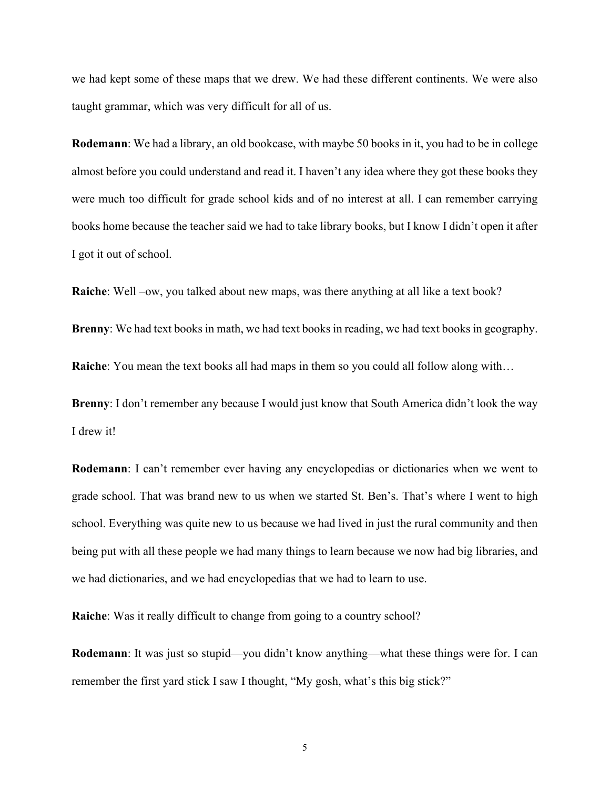we had kept some of these maps that we drew. We had these different continents. We were also taught grammar, which was very difficult for all of us.

**Rodemann**: We had a library, an old bookcase, with maybe 50 books in it, you had to be in college almost before you could understand and read it. I haven't any idea where they got these books they were much too difficult for grade school kids and of no interest at all. I can remember carrying books home because the teacher said we had to take library books, but I know I didn't open it after I got it out of school.

**Raiche**: Well –ow, you talked about new maps, was there anything at all like a text book?

**Brenny**: We had text books in math, we had text books in reading, we had text books in geography.

**Raiche**: You mean the text books all had maps in them so you could all follow along with…

**Brenny:** I don't remember any because I would just know that South America didn't look the way I drew it!

**Rodemann**: I can't remember ever having any encyclopedias or dictionaries when we went to grade school. That was brand new to us when we started St. Ben's. That's where I went to high school. Everything was quite new to us because we had lived in just the rural community and then being put with all these people we had many things to learn because we now had big libraries, and we had dictionaries, and we had encyclopedias that we had to learn to use.

**Raiche:** Was it really difficult to change from going to a country school?

**Rodemann**: It was just so stupid—you didn't know anything—what these things were for. I can remember the first yard stick I saw I thought, "My gosh, what's this big stick?"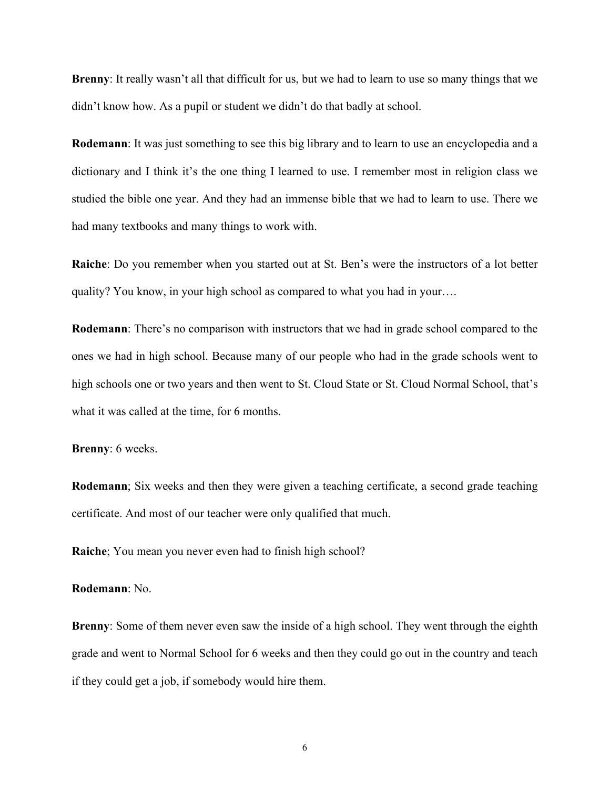**Brenny**: It really wasn't all that difficult for us, but we had to learn to use so many things that we didn't know how. As a pupil or student we didn't do that badly at school.

**Rodemann**: It was just something to see this big library and to learn to use an encyclopedia and a dictionary and I think it's the one thing I learned to use. I remember most in religion class we studied the bible one year. And they had an immense bible that we had to learn to use. There we had many textbooks and many things to work with.

**Raiche**: Do you remember when you started out at St. Ben's were the instructors of a lot better quality? You know, in your high school as compared to what you had in your….

**Rodemann**: There's no comparison with instructors that we had in grade school compared to the ones we had in high school. Because many of our people who had in the grade schools went to high schools one or two years and then went to St. Cloud State or St. Cloud Normal School, that's what it was called at the time, for 6 months.

**Brenny**: 6 weeks.

**Rodemann**; Six weeks and then they were given a teaching certificate, a second grade teaching certificate. And most of our teacher were only qualified that much.

**Raiche**; You mean you never even had to finish high school?

## **Rodemann**: No.

**Brenny**: Some of them never even saw the inside of a high school. They went through the eighth grade and went to Normal School for 6 weeks and then they could go out in the country and teach if they could get a job, if somebody would hire them.

6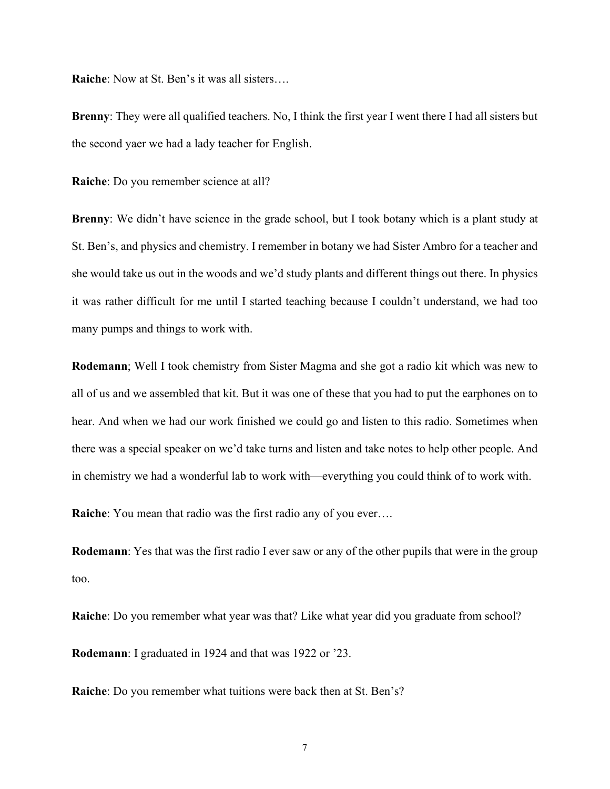**Raiche**: Now at St. Ben's it was all sisters….

**Brenny**: They were all qualified teachers. No, I think the first year I went there I had all sisters but the second yaer we had a lady teacher for English.

**Raiche**: Do you remember science at all?

**Brenny**: We didn't have science in the grade school, but I took botany which is a plant study at St. Ben's, and physics and chemistry. I remember in botany we had Sister Ambro for a teacher and she would take us out in the woods and we'd study plants and different things out there. In physics it was rather difficult for me until I started teaching because I couldn't understand, we had too many pumps and things to work with.

**Rodemann**; Well I took chemistry from Sister Magma and she got a radio kit which was new to all of us and we assembled that kit. But it was one of these that you had to put the earphones on to hear. And when we had our work finished we could go and listen to this radio. Sometimes when there was a special speaker on we'd take turns and listen and take notes to help other people. And in chemistry we had a wonderful lab to work with—everything you could think of to work with.

**Raiche**: You mean that radio was the first radio any of you ever….

**Rodemann**: Yes that was the first radio I ever saw or any of the other pupils that were in the group too.

**Raiche**: Do you remember what year was that? Like what year did you graduate from school?

**Rodemann**: I graduated in 1924 and that was 1922 or '23.

**Raiche**: Do you remember what tuitions were back then at St. Ben's?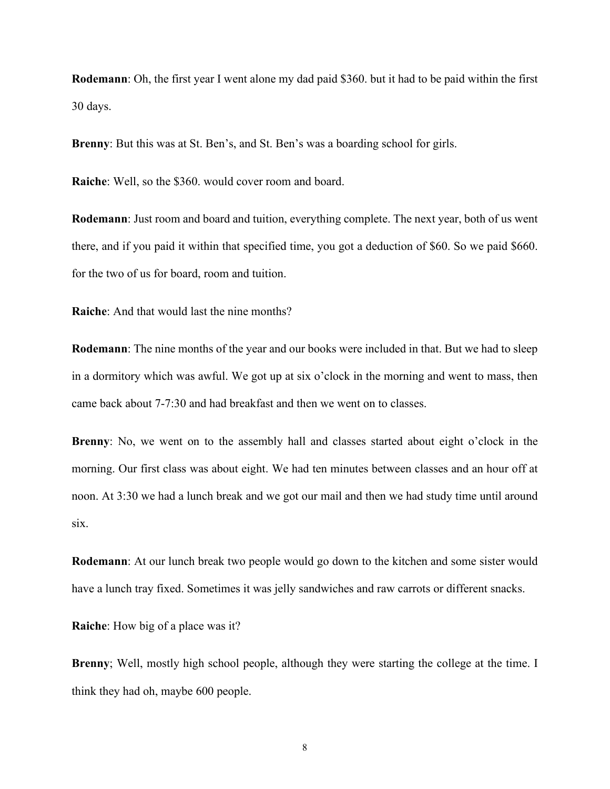**Rodemann**: Oh, the first year I went alone my dad paid \$360. but it had to be paid within the first 30 days.

**Brenny**: But this was at St. Ben's, and St. Ben's was a boarding school for girls.

**Raiche**: Well, so the \$360. would cover room and board.

**Rodemann**: Just room and board and tuition, everything complete. The next year, both of us went there, and if you paid it within that specified time, you got a deduction of \$60. So we paid \$660. for the two of us for board, room and tuition.

**Raiche**: And that would last the nine months?

**Rodemann**: The nine months of the year and our books were included in that. But we had to sleep in a dormitory which was awful. We got up at six o'clock in the morning and went to mass, then came back about 7-7:30 and had breakfast and then we went on to classes.

**Brenny**: No, we went on to the assembly hall and classes started about eight o'clock in the morning. Our first class was about eight. We had ten minutes between classes and an hour off at noon. At 3:30 we had a lunch break and we got our mail and then we had study time until around six.

**Rodemann**: At our lunch break two people would go down to the kitchen and some sister would have a lunch tray fixed. Sometimes it was jelly sandwiches and raw carrots or different snacks.

**Raiche**: How big of a place was it?

**Brenny**; Well, mostly high school people, although they were starting the college at the time. I think they had oh, maybe 600 people.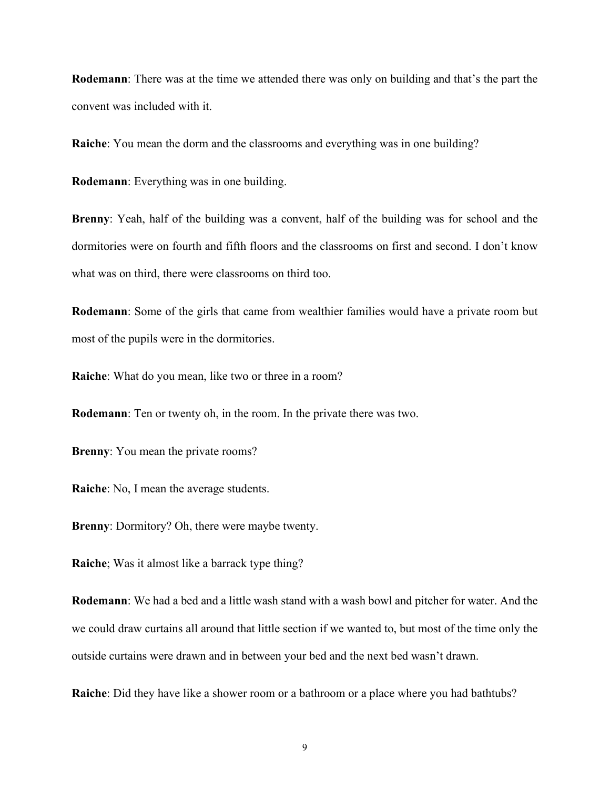**Rodemann**: There was at the time we attended there was only on building and that's the part the convent was included with it.

**Raiche**: You mean the dorm and the classrooms and everything was in one building?

**Rodemann**: Everything was in one building.

**Brenny**: Yeah, half of the building was a convent, half of the building was for school and the dormitories were on fourth and fifth floors and the classrooms on first and second. I don't know what was on third, there were classrooms on third too.

**Rodemann**: Some of the girls that came from wealthier families would have a private room but most of the pupils were in the dormitories.

**Raiche:** What do you mean, like two or three in a room?

**Rodemann**: Ten or twenty oh, in the room. In the private there was two.

**Brenny**: You mean the private rooms?

**Raiche**: No, I mean the average students.

**Brenny**: Dormitory? Oh, there were maybe twenty.

**Raiche**; Was it almost like a barrack type thing?

**Rodemann**: We had a bed and a little wash stand with a wash bowl and pitcher for water. And the we could draw curtains all around that little section if we wanted to, but most of the time only the outside curtains were drawn and in between your bed and the next bed wasn't drawn.

**Raiche**: Did they have like a shower room or a bathroom or a place where you had bathtubs?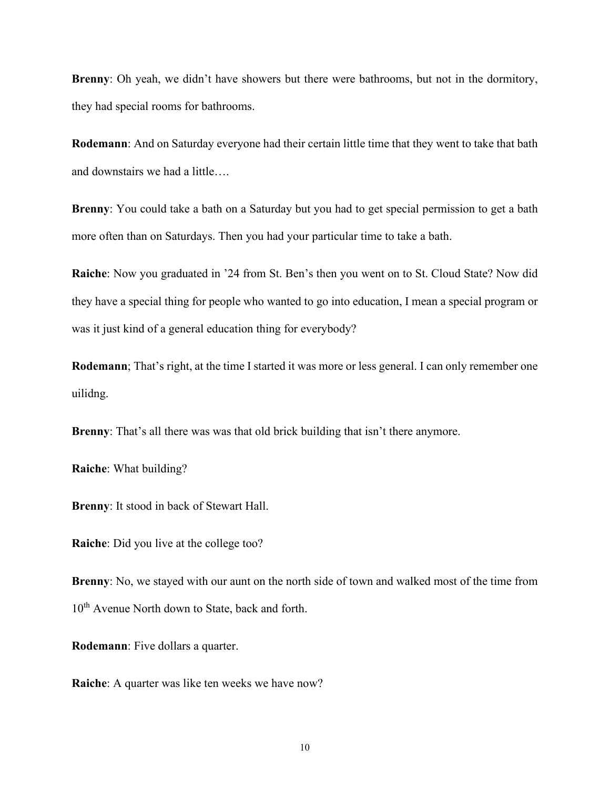**Brenny**: Oh yeah, we didn't have showers but there were bathrooms, but not in the dormitory, they had special rooms for bathrooms.

**Rodemann**: And on Saturday everyone had their certain little time that they went to take that bath and downstairs we had a little….

**Brenny**: You could take a bath on a Saturday but you had to get special permission to get a bath more often than on Saturdays. Then you had your particular time to take a bath.

**Raiche**: Now you graduated in '24 from St. Ben's then you went on to St. Cloud State? Now did they have a special thing for people who wanted to go into education, I mean a special program or was it just kind of a general education thing for everybody?

**Rodemann**; That's right, at the time I started it was more or less general. I can only remember one uilidng.

**Brenny**: That's all there was was that old brick building that isn't there anymore.

**Raiche**: What building?

**Brenny**: It stood in back of Stewart Hall.

**Raiche**: Did you live at the college too?

**Brenny**: No, we stayed with our aunt on the north side of town and walked most of the time from 10<sup>th</sup> Avenue North down to State, back and forth.

**Rodemann**: Five dollars a quarter.

**Raiche**: A quarter was like ten weeks we have now?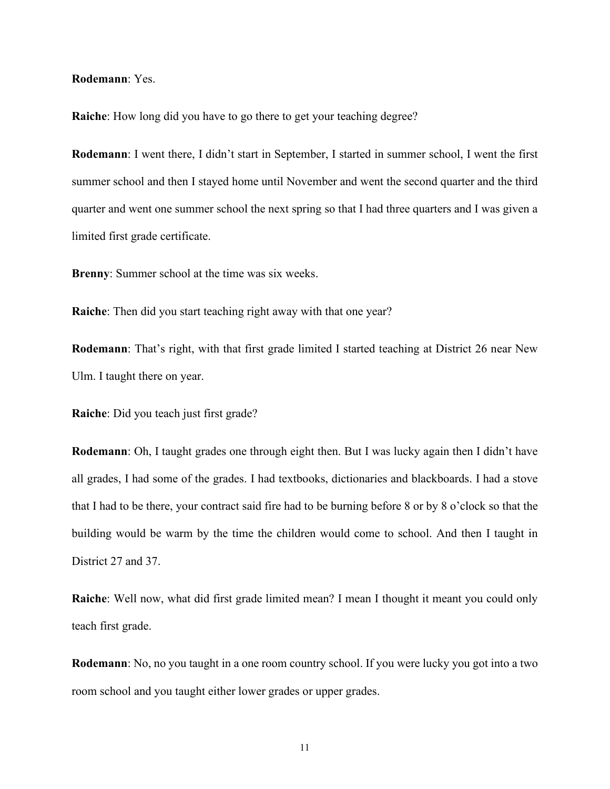## **Rodemann**: Yes.

**Raiche:** How long did you have to go there to get your teaching degree?

**Rodemann**: I went there, I didn't start in September, I started in summer school, I went the first summer school and then I stayed home until November and went the second quarter and the third quarter and went one summer school the next spring so that I had three quarters and I was given a limited first grade certificate.

**Brenny**: Summer school at the time was six weeks.

**Raiche**: Then did you start teaching right away with that one year?

**Rodemann**: That's right, with that first grade limited I started teaching at District 26 near New Ulm. I taught there on year.

**Raiche**: Did you teach just first grade?

**Rodemann**: Oh, I taught grades one through eight then. But I was lucky again then I didn't have all grades, I had some of the grades. I had textbooks, dictionaries and blackboards. I had a stove that I had to be there, your contract said fire had to be burning before 8 or by 8 o'clock so that the building would be warm by the time the children would come to school. And then I taught in District 27 and 37.

**Raiche**: Well now, what did first grade limited mean? I mean I thought it meant you could only teach first grade.

**Rodemann**: No, no you taught in a one room country school. If you were lucky you got into a two room school and you taught either lower grades or upper grades.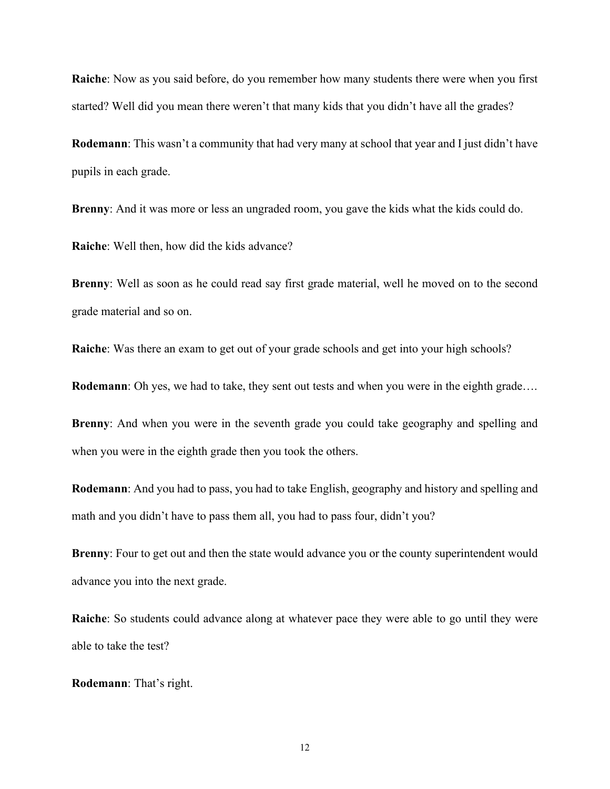**Raiche**: Now as you said before, do you remember how many students there were when you first started? Well did you mean there weren't that many kids that you didn't have all the grades?

**Rodemann**: This wasn't a community that had very many at school that year and I just didn't have pupils in each grade.

**Brenny:** And it was more or less an ungraded room, you gave the kids what the kids could do.

**Raiche**: Well then, how did the kids advance?

**Brenny**: Well as soon as he could read say first grade material, well he moved on to the second grade material and so on.

**Raiche**: Was there an exam to get out of your grade schools and get into your high schools?

**Rodemann**: Oh yes, we had to take, they sent out tests and when you were in the eighth grade….

**Brenny**: And when you were in the seventh grade you could take geography and spelling and when you were in the eighth grade then you took the others.

**Rodemann**: And you had to pass, you had to take English, geography and history and spelling and math and you didn't have to pass them all, you had to pass four, didn't you?

**Brenny**: Four to get out and then the state would advance you or the county superintendent would advance you into the next grade.

**Raiche**: So students could advance along at whatever pace they were able to go until they were able to take the test?

**Rodemann**: That's right.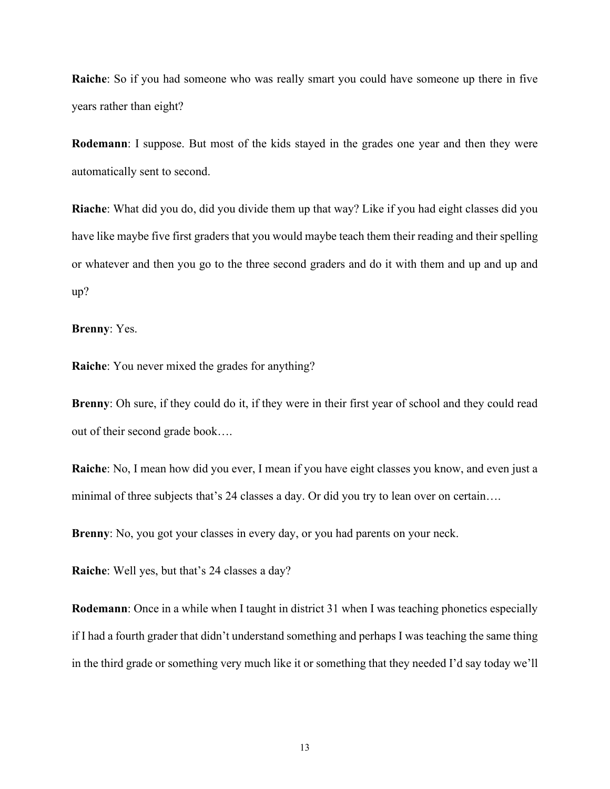**Raiche**: So if you had someone who was really smart you could have someone up there in five years rather than eight?

**Rodemann**: I suppose. But most of the kids stayed in the grades one year and then they were automatically sent to second.

**Riache**: What did you do, did you divide them up that way? Like if you had eight classes did you have like maybe five first graders that you would maybe teach them their reading and their spelling or whatever and then you go to the three second graders and do it with them and up and up and up?

**Brenny**: Yes.

**Raiche**: You never mixed the grades for anything?

**Brenny:** Oh sure, if they could do it, if they were in their first year of school and they could read out of their second grade book….

**Raiche**: No, I mean how did you ever, I mean if you have eight classes you know, and even just a minimal of three subjects that's 24 classes a day. Or did you try to lean over on certain….

**Brenny**: No, you got your classes in every day, or you had parents on your neck.

**Raiche**: Well yes, but that's 24 classes a day?

**Rodemann**: Once in a while when I taught in district 31 when I was teaching phonetics especially if I had a fourth grader that didn't understand something and perhaps I was teaching the same thing in the third grade or something very much like it or something that they needed I'd say today we'll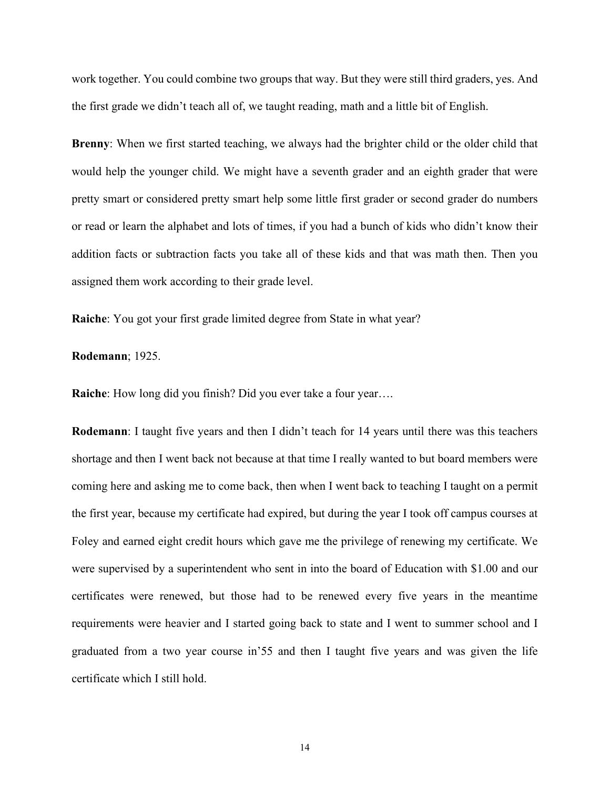work together. You could combine two groups that way. But they were still third graders, yes. And the first grade we didn't teach all of, we taught reading, math and a little bit of English.

**Brenny**: When we first started teaching, we always had the brighter child or the older child that would help the younger child. We might have a seventh grader and an eighth grader that were pretty smart or considered pretty smart help some little first grader or second grader do numbers or read or learn the alphabet and lots of times, if you had a bunch of kids who didn't know their addition facts or subtraction facts you take all of these kids and that was math then. Then you assigned them work according to their grade level.

**Raiche**: You got your first grade limited degree from State in what year?

## **Rodemann**; 1925.

**Raiche**: How long did you finish? Did you ever take a four year….

**Rodemann**: I taught five years and then I didn't teach for 14 years until there was this teachers shortage and then I went back not because at that time I really wanted to but board members were coming here and asking me to come back, then when I went back to teaching I taught on a permit the first year, because my certificate had expired, but during the year I took off campus courses at Foley and earned eight credit hours which gave me the privilege of renewing my certificate. We were supervised by a superintendent who sent in into the board of Education with \$1.00 and our certificates were renewed, but those had to be renewed every five years in the meantime requirements were heavier and I started going back to state and I went to summer school and I graduated from a two year course in'55 and then I taught five years and was given the life certificate which I still hold.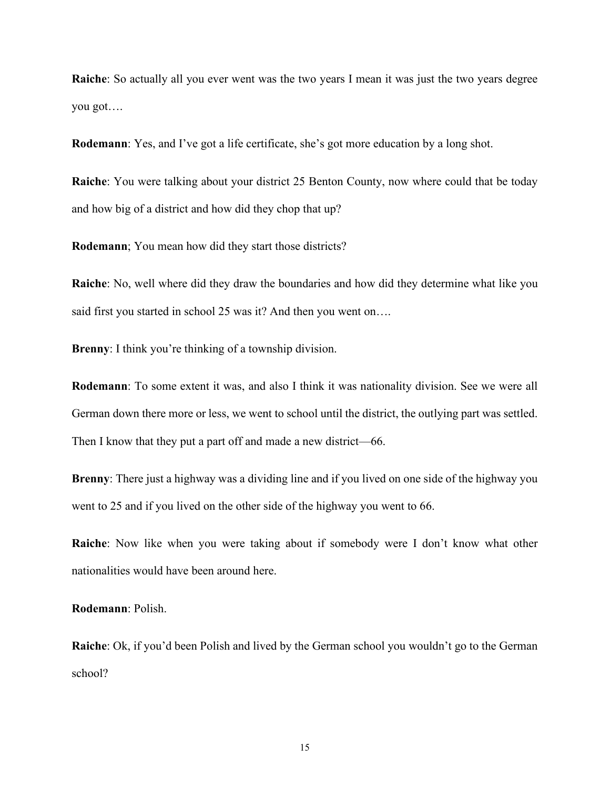**Raiche**: So actually all you ever went was the two years I mean it was just the two years degree you got….

**Rodemann**: Yes, and I've got a life certificate, she's got more education by a long shot.

**Raiche**: You were talking about your district 25 Benton County, now where could that be today and how big of a district and how did they chop that up?

**Rodemann**; You mean how did they start those districts?

**Raiche**: No, well where did they draw the boundaries and how did they determine what like you said first you started in school 25 was it? And then you went on....

**Brenny**: I think you're thinking of a township division.

**Rodemann**: To some extent it was, and also I think it was nationality division. See we were all German down there more or less, we went to school until the district, the outlying part was settled. Then I know that they put a part off and made a new district—66.

**Brenny**: There just a highway was a dividing line and if you lived on one side of the highway you went to 25 and if you lived on the other side of the highway you went to 66.

**Raiche**: Now like when you were taking about if somebody were I don't know what other nationalities would have been around here.

**Rodemann**: Polish.

**Raiche**: Ok, if you'd been Polish and lived by the German school you wouldn't go to the German school?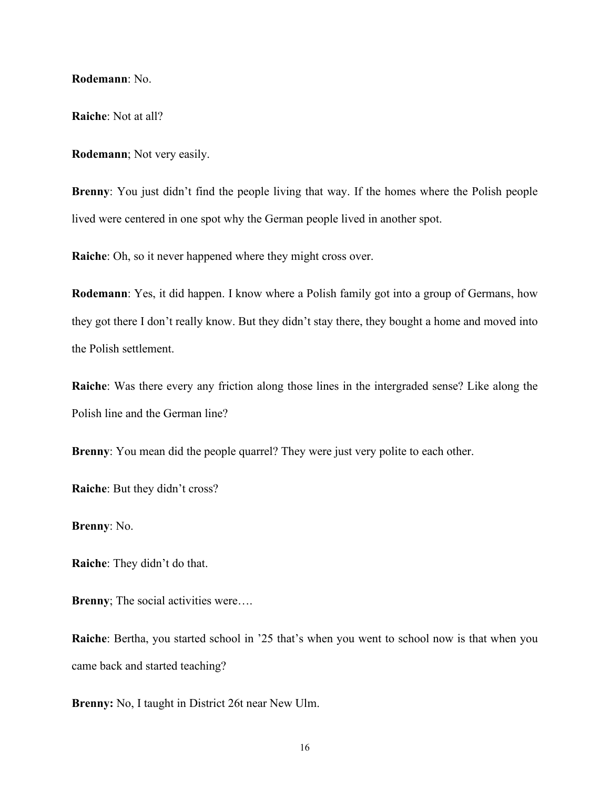**Rodemann**: No.

**Raiche**: Not at all?

**Rodemann**; Not very easily.

**Brenny**: You just didn't find the people living that way. If the homes where the Polish people lived were centered in one spot why the German people lived in another spot.

**Raiche**: Oh, so it never happened where they might cross over.

**Rodemann**: Yes, it did happen. I know where a Polish family got into a group of Germans, how they got there I don't really know. But they didn't stay there, they bought a home and moved into the Polish settlement.

**Raiche**: Was there every any friction along those lines in the intergraded sense? Like along the Polish line and the German line?

**Brenny**: You mean did the people quarrel? They were just very polite to each other.

**Raiche**: But they didn't cross?

**Brenny**: No.

**Raiche**: They didn't do that.

**Brenny**; The social activities were….

**Raiche**: Bertha, you started school in '25 that's when you went to school now is that when you came back and started teaching?

**Brenny:** No, I taught in District 26t near New Ulm.

16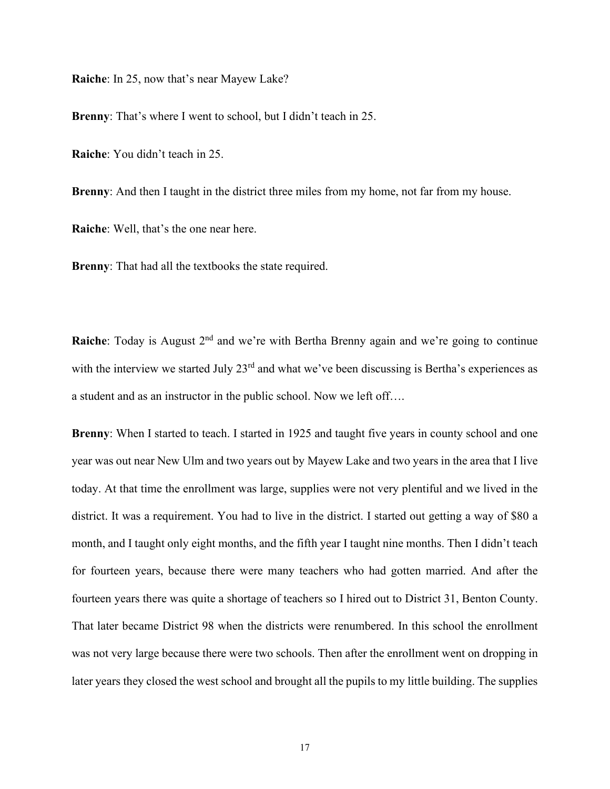**Raiche**: In 25, now that's near Mayew Lake?

**Brenny**: That's where I went to school, but I didn't teach in 25.

**Raiche**: You didn't teach in 25.

**Brenny**: And then I taught in the district three miles from my home, not far from my house.

**Raiche**: Well, that's the one near here.

**Brenny**: That had all the textbooks the state required.

**Raiche**: Today is August 2<sup>nd</sup> and we're with Bertha Brenny again and we're going to continue with the interview we started July 23<sup>rd</sup> and what we've been discussing is Bertha's experiences as a student and as an instructor in the public school. Now we left off….

**Brenny**: When I started to teach. I started in 1925 and taught five years in county school and one year was out near New Ulm and two years out by Mayew Lake and two years in the area that I live today. At that time the enrollment was large, supplies were not very plentiful and we lived in the district. It was a requirement. You had to live in the district. I started out getting a way of \$80 a month, and I taught only eight months, and the fifth year I taught nine months. Then I didn't teach for fourteen years, because there were many teachers who had gotten married. And after the fourteen years there was quite a shortage of teachers so I hired out to District 31, Benton County. That later became District 98 when the districts were renumbered. In this school the enrollment was not very large because there were two schools. Then after the enrollment went on dropping in later years they closed the west school and brought all the pupils to my little building. The supplies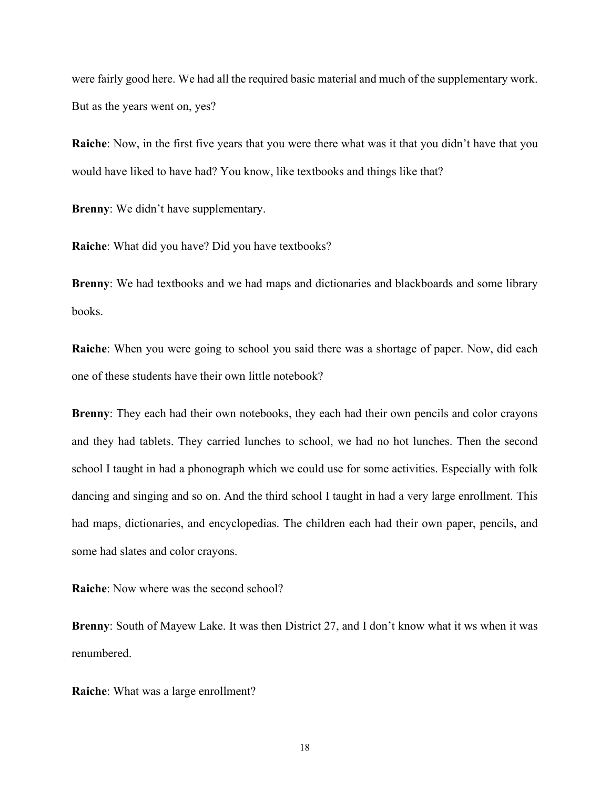were fairly good here. We had all the required basic material and much of the supplementary work. But as the years went on, yes?

**Raiche**: Now, in the first five years that you were there what was it that you didn't have that you would have liked to have had? You know, like textbooks and things like that?

**Brenny**: We didn't have supplementary.

**Raiche**: What did you have? Did you have textbooks?

**Brenny**: We had textbooks and we had maps and dictionaries and blackboards and some library books.

**Raiche**: When you were going to school you said there was a shortage of paper. Now, did each one of these students have their own little notebook?

**Brenny**: They each had their own notebooks, they each had their own pencils and color crayons and they had tablets. They carried lunches to school, we had no hot lunches. Then the second school I taught in had a phonograph which we could use for some activities. Especially with folk dancing and singing and so on. And the third school I taught in had a very large enrollment. This had maps, dictionaries, and encyclopedias. The children each had their own paper, pencils, and some had slates and color crayons.

**Raiche**: Now where was the second school?

**Brenny**: South of Mayew Lake. It was then District 27, and I don't know what it ws when it was renumbered.

**Raiche**: What was a large enrollment?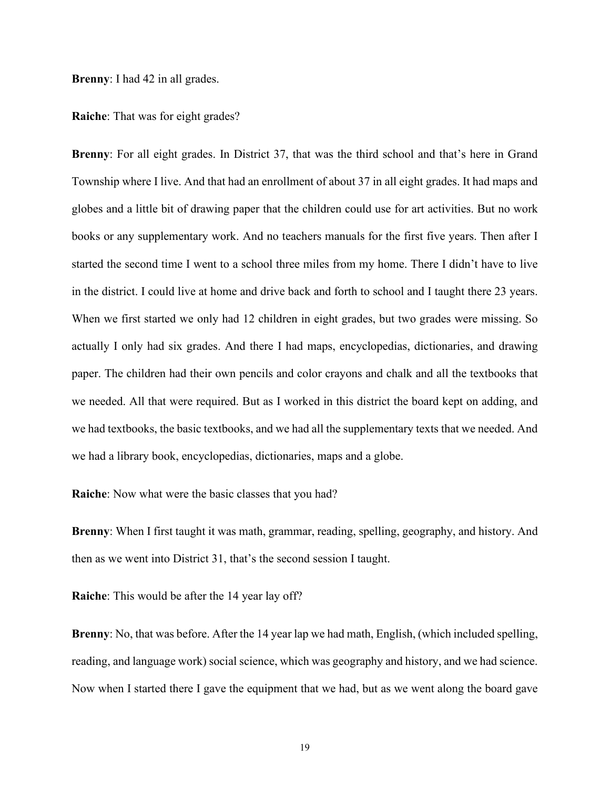**Brenny**: I had 42 in all grades.

**Raiche**: That was for eight grades?

**Brenny**: For all eight grades. In District 37, that was the third school and that's here in Grand Township where I live. And that had an enrollment of about 37 in all eight grades. It had maps and globes and a little bit of drawing paper that the children could use for art activities. But no work books or any supplementary work. And no teachers manuals for the first five years. Then after I started the second time I went to a school three miles from my home. There I didn't have to live in the district. I could live at home and drive back and forth to school and I taught there 23 years. When we first started we only had 12 children in eight grades, but two grades were missing. So actually I only had six grades. And there I had maps, encyclopedias, dictionaries, and drawing paper. The children had their own pencils and color crayons and chalk and all the textbooks that we needed. All that were required. But as I worked in this district the board kept on adding, and we had textbooks, the basic textbooks, and we had all the supplementary texts that we needed. And we had a library book, encyclopedias, dictionaries, maps and a globe.

**Raiche**: Now what were the basic classes that you had?

**Brenny**: When I first taught it was math, grammar, reading, spelling, geography, and history. And then as we went into District 31, that's the second session I taught.

**Raiche**: This would be after the 14 year lay off?

**Brenny**: No, that was before. After the 14 year lap we had math, English, (which included spelling, reading, and language work) social science, which was geography and history, and we had science. Now when I started there I gave the equipment that we had, but as we went along the board gave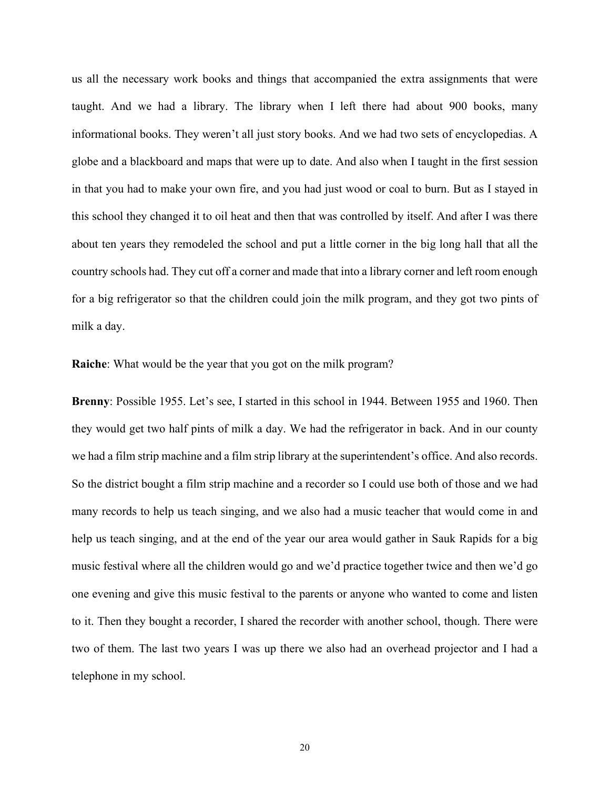us all the necessary work books and things that accompanied the extra assignments that were taught. And we had a library. The library when I left there had about 900 books, many informational books. They weren't all just story books. And we had two sets of encyclopedias. A globe and a blackboard and maps that were up to date. And also when I taught in the first session in that you had to make your own fire, and you had just wood or coal to burn. But as I stayed in this school they changed it to oil heat and then that was controlled by itself. And after I was there about ten years they remodeled the school and put a little corner in the big long hall that all the country schools had. They cut off a corner and made that into a library corner and left room enough for a big refrigerator so that the children could join the milk program, and they got two pints of milk a day.

**Raiche**: What would be the year that you got on the milk program?

**Brenny**: Possible 1955. Let's see, I started in this school in 1944. Between 1955 and 1960. Then they would get two half pints of milk a day. We had the refrigerator in back. And in our county we had a film strip machine and a film strip library at the superintendent's office. And also records. So the district bought a film strip machine and a recorder so I could use both of those and we had many records to help us teach singing, and we also had a music teacher that would come in and help us teach singing, and at the end of the year our area would gather in Sauk Rapids for a big music festival where all the children would go and we'd practice together twice and then we'd go one evening and give this music festival to the parents or anyone who wanted to come and listen to it. Then they bought a recorder, I shared the recorder with another school, though. There were two of them. The last two years I was up there we also had an overhead projector and I had a telephone in my school.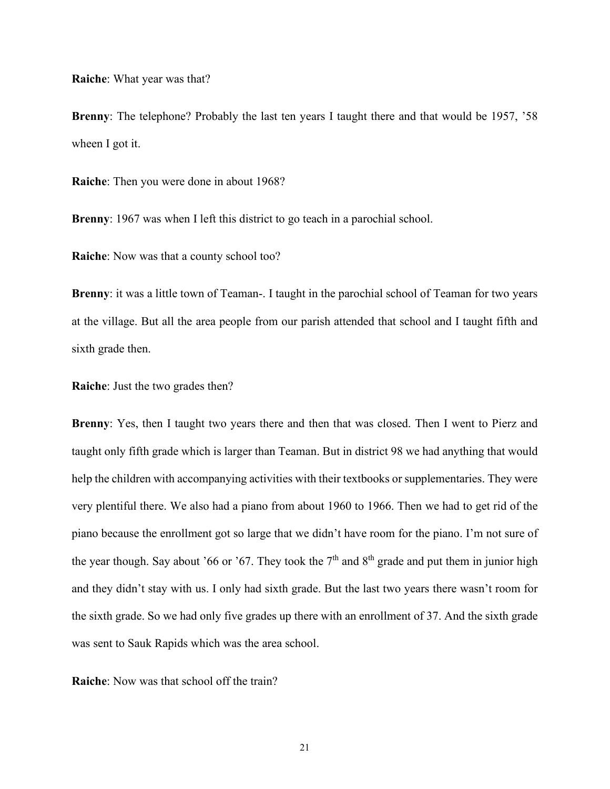**Raiche**: What year was that?

**Brenny**: The telephone? Probably the last ten years I taught there and that would be 1957, '58 wheen I got it.

**Raiche**: Then you were done in about 1968?

**Brenny**: 1967 was when I left this district to go teach in a parochial school.

**Raiche**: Now was that a county school too?

**Brenny**: it was a little town of Teaman-. I taught in the parochial school of Teaman for two years at the village. But all the area people from our parish attended that school and I taught fifth and sixth grade then.

**Raiche**: Just the two grades then?

**Brenny**: Yes, then I taught two years there and then that was closed. Then I went to Pierz and taught only fifth grade which is larger than Teaman. But in district 98 we had anything that would help the children with accompanying activities with their textbooks or supplementaries. They were very plentiful there. We also had a piano from about 1960 to 1966. Then we had to get rid of the piano because the enrollment got so large that we didn't have room for the piano. I'm not sure of the year though. Say about '66 or '67. They took the  $7<sup>th</sup>$  and  $8<sup>th</sup>$  grade and put them in junior high and they didn't stay with us. I only had sixth grade. But the last two years there wasn't room for the sixth grade. So we had only five grades up there with an enrollment of 37. And the sixth grade was sent to Sauk Rapids which was the area school.

**Raiche**: Now was that school off the train?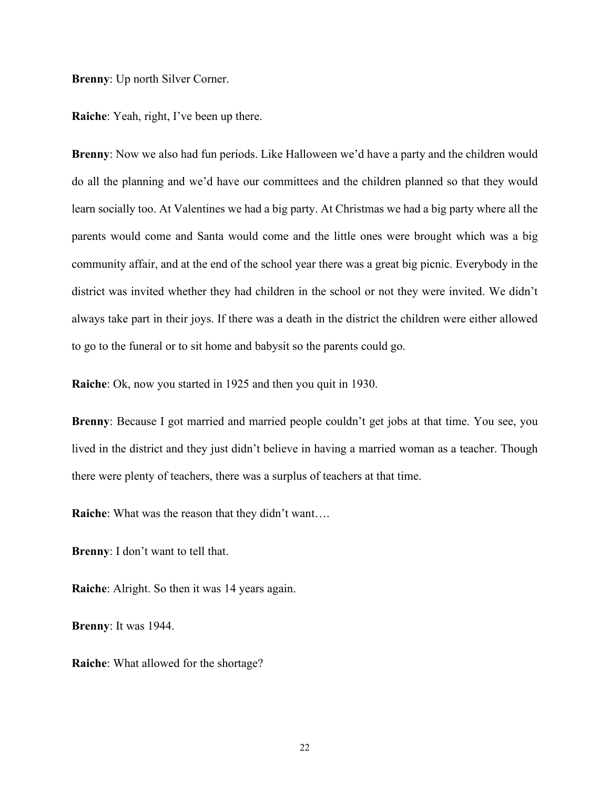**Brenny**: Up north Silver Corner.

**Raiche**: Yeah, right, I've been up there.

**Brenny:** Now we also had fun periods. Like Halloween we'd have a party and the children would do all the planning and we'd have our committees and the children planned so that they would learn socially too. At Valentines we had a big party. At Christmas we had a big party where all the parents would come and Santa would come and the little ones were brought which was a big community affair, and at the end of the school year there was a great big picnic. Everybody in the district was invited whether they had children in the school or not they were invited. We didn't always take part in their joys. If there was a death in the district the children were either allowed to go to the funeral or to sit home and babysit so the parents could go.

**Raiche**: Ok, now you started in 1925 and then you quit in 1930.

**Brenny:** Because I got married and married people couldn't get jobs at that time. You see, you lived in the district and they just didn't believe in having a married woman as a teacher. Though there were plenty of teachers, there was a surplus of teachers at that time.

**Raiche**: What was the reason that they didn't want….

**Brenny**: I don't want to tell that.

**Raiche**: Alright. So then it was 14 years again.

**Brenny**: It was 1944.

**Raiche**: What allowed for the shortage?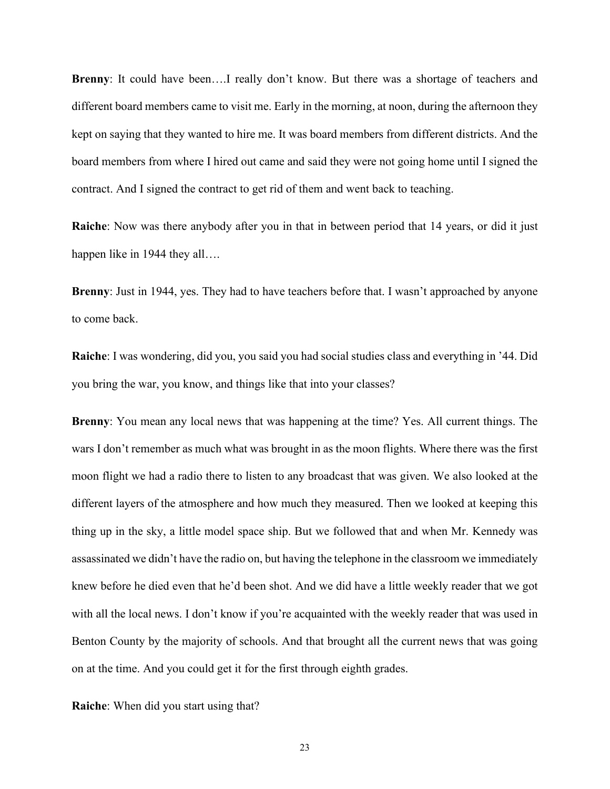**Brenny**: It could have been….I really don't know. But there was a shortage of teachers and different board members came to visit me. Early in the morning, at noon, during the afternoon they kept on saying that they wanted to hire me. It was board members from different districts. And the board members from where I hired out came and said they were not going home until I signed the contract. And I signed the contract to get rid of them and went back to teaching.

**Raiche**: Now was there anybody after you in that in between period that 14 years, or did it just happen like in 1944 they all....

**Brenny**: Just in 1944, yes. They had to have teachers before that. I wasn't approached by anyone to come back.

**Raiche**: I was wondering, did you, you said you had social studies class and everything in '44. Did you bring the war, you know, and things like that into your classes?

**Brenny**: You mean any local news that was happening at the time? Yes. All current things. The wars I don't remember as much what was brought in as the moon flights. Where there was the first moon flight we had a radio there to listen to any broadcast that was given. We also looked at the different layers of the atmosphere and how much they measured. Then we looked at keeping this thing up in the sky, a little model space ship. But we followed that and when Mr. Kennedy was assassinated we didn't have the radio on, but having the telephone in the classroom we immediately knew before he died even that he'd been shot. And we did have a little weekly reader that we got with all the local news. I don't know if you're acquainted with the weekly reader that was used in Benton County by the majority of schools. And that brought all the current news that was going on at the time. And you could get it for the first through eighth grades.

**Raiche**: When did you start using that?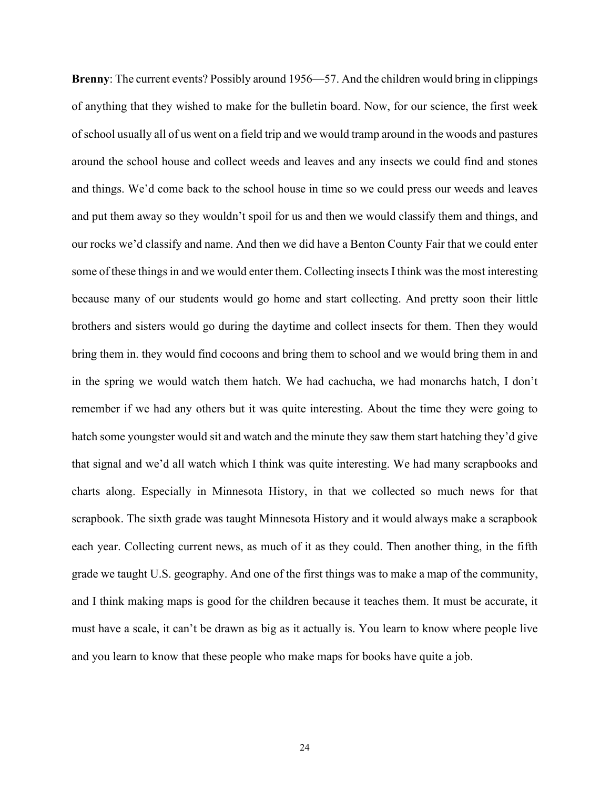**Brenny**: The current events? Possibly around 1956—57. And the children would bring in clippings of anything that they wished to make for the bulletin board. Now, for our science, the first week of school usually all of us went on a field trip and we would tramp around in the woods and pastures around the school house and collect weeds and leaves and any insects we could find and stones and things. We'd come back to the school house in time so we could press our weeds and leaves and put them away so they wouldn't spoil for us and then we would classify them and things, and our rocks we'd classify and name. And then we did have a Benton County Fair that we could enter some of these things in and we would enter them. Collecting insects I think was the most interesting because many of our students would go home and start collecting. And pretty soon their little brothers and sisters would go during the daytime and collect insects for them. Then they would bring them in. they would find cocoons and bring them to school and we would bring them in and in the spring we would watch them hatch. We had cachucha, we had monarchs hatch, I don't remember if we had any others but it was quite interesting. About the time they were going to hatch some youngster would sit and watch and the minute they saw them start hatching they'd give that signal and we'd all watch which I think was quite interesting. We had many scrapbooks and charts along. Especially in Minnesota History, in that we collected so much news for that scrapbook. The sixth grade was taught Minnesota History and it would always make a scrapbook each year. Collecting current news, as much of it as they could. Then another thing, in the fifth grade we taught U.S. geography. And one of the first things was to make a map of the community, and I think making maps is good for the children because it teaches them. It must be accurate, it must have a scale, it can't be drawn as big as it actually is. You learn to know where people live and you learn to know that these people who make maps for books have quite a job.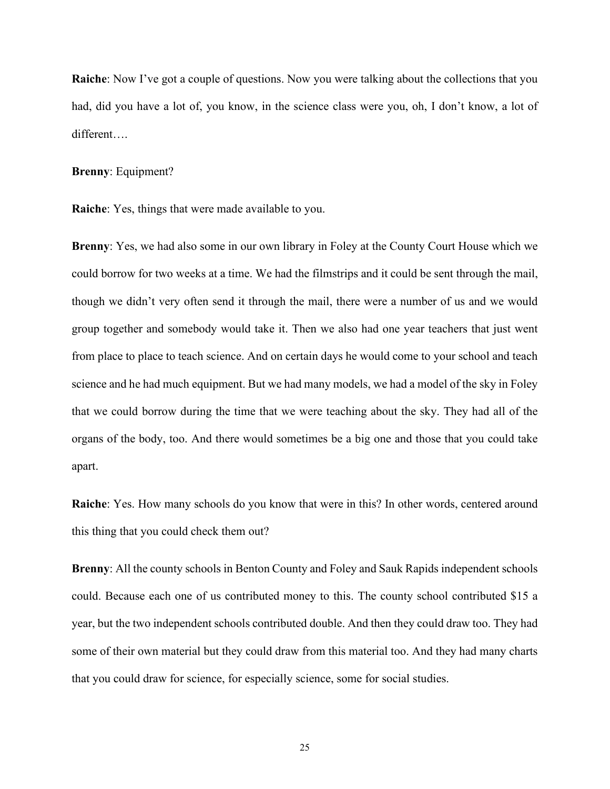**Raiche**: Now I've got a couple of questions. Now you were talking about the collections that you had, did you have a lot of, you know, in the science class were you, oh, I don't know, a lot of different….

#### **Brenny**: Equipment?

**Raiche**: Yes, things that were made available to you.

**Brenny**: Yes, we had also some in our own library in Foley at the County Court House which we could borrow for two weeks at a time. We had the filmstrips and it could be sent through the mail, though we didn't very often send it through the mail, there were a number of us and we would group together and somebody would take it. Then we also had one year teachers that just went from place to place to teach science. And on certain days he would come to your school and teach science and he had much equipment. But we had many models, we had a model of the sky in Foley that we could borrow during the time that we were teaching about the sky. They had all of the organs of the body, too. And there would sometimes be a big one and those that you could take apart.

**Raiche**: Yes. How many schools do you know that were in this? In other words, centered around this thing that you could check them out?

**Brenny**: All the county schools in Benton County and Foley and Sauk Rapids independent schools could. Because each one of us contributed money to this. The county school contributed \$15 a year, but the two independent schools contributed double. And then they could draw too. They had some of their own material but they could draw from this material too. And they had many charts that you could draw for science, for especially science, some for social studies.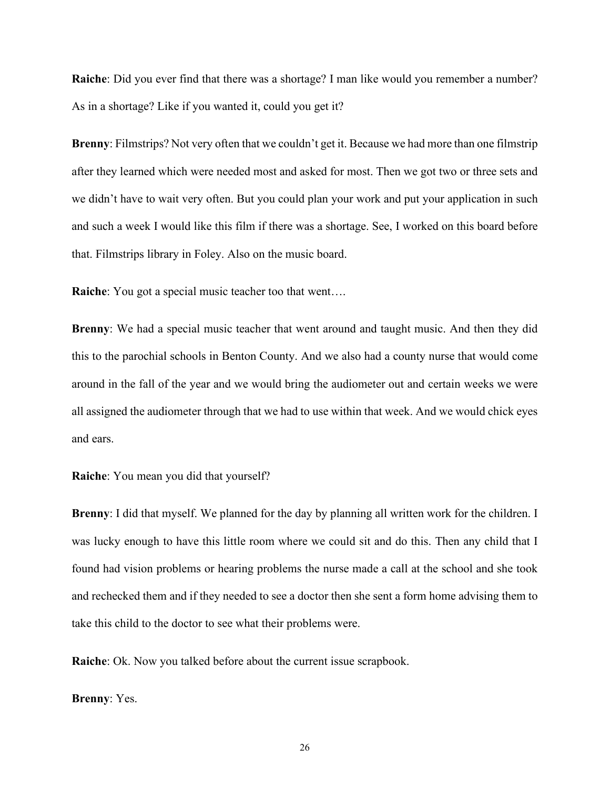**Raiche**: Did you ever find that there was a shortage? I man like would you remember a number? As in a shortage? Like if you wanted it, could you get it?

**Brenny**: Filmstrips? Not very often that we couldn't get it. Because we had more than one filmstrip after they learned which were needed most and asked for most. Then we got two or three sets and we didn't have to wait very often. But you could plan your work and put your application in such and such a week I would like this film if there was a shortage. See, I worked on this board before that. Filmstrips library in Foley. Also on the music board.

**Raiche**: You got a special music teacher too that went….

**Brenny**: We had a special music teacher that went around and taught music. And then they did this to the parochial schools in Benton County. And we also had a county nurse that would come around in the fall of the year and we would bring the audiometer out and certain weeks we were all assigned the audiometer through that we had to use within that week. And we would chick eyes and ears.

**Raiche**: You mean you did that yourself?

**Brenny**: I did that myself. We planned for the day by planning all written work for the children. I was lucky enough to have this little room where we could sit and do this. Then any child that I found had vision problems or hearing problems the nurse made a call at the school and she took and rechecked them and if they needed to see a doctor then she sent a form home advising them to take this child to the doctor to see what their problems were.

**Raiche**: Ok. Now you talked before about the current issue scrapbook.

**Brenny**: Yes.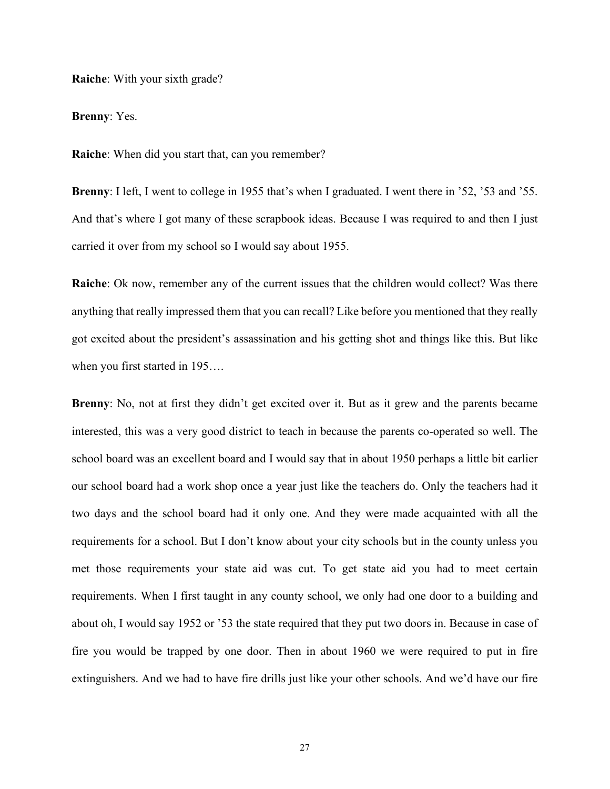**Raiche**: With your sixth grade?

**Brenny**: Yes.

**Raiche**: When did you start that, can you remember?

**Brenny**: I left, I went to college in 1955 that's when I graduated. I went there in '52, '53 and '55. And that's where I got many of these scrapbook ideas. Because I was required to and then I just carried it over from my school so I would say about 1955.

**Raiche**: Ok now, remember any of the current issues that the children would collect? Was there anything that really impressed them that you can recall? Like before you mentioned that they really got excited about the president's assassination and his getting shot and things like this. But like when you first started in 195….

**Brenny**: No, not at first they didn't get excited over it. But as it grew and the parents became interested, this was a very good district to teach in because the parents co-operated so well. The school board was an excellent board and I would say that in about 1950 perhaps a little bit earlier our school board had a work shop once a year just like the teachers do. Only the teachers had it two days and the school board had it only one. And they were made acquainted with all the requirements for a school. But I don't know about your city schools but in the county unless you met those requirements your state aid was cut. To get state aid you had to meet certain requirements. When I first taught in any county school, we only had one door to a building and about oh, I would say 1952 or '53 the state required that they put two doors in. Because in case of fire you would be trapped by one door. Then in about 1960 we were required to put in fire extinguishers. And we had to have fire drills just like your other schools. And we'd have our fire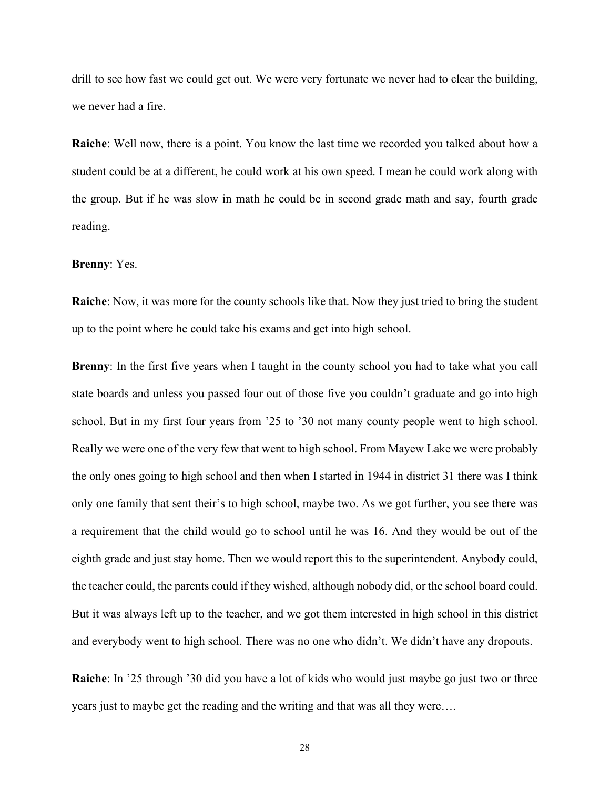drill to see how fast we could get out. We were very fortunate we never had to clear the building, we never had a fire.

**Raiche**: Well now, there is a point. You know the last time we recorded you talked about how a student could be at a different, he could work at his own speed. I mean he could work along with the group. But if he was slow in math he could be in second grade math and say, fourth grade reading.

#### **Brenny**: Yes.

**Raiche**: Now, it was more for the county schools like that. Now they just tried to bring the student up to the point where he could take his exams and get into high school.

**Brenny**: In the first five years when I taught in the county school you had to take what you call state boards and unless you passed four out of those five you couldn't graduate and go into high school. But in my first four years from '25 to '30 not many county people went to high school. Really we were one of the very few that went to high school. From Mayew Lake we were probably the only ones going to high school and then when I started in 1944 in district 31 there was I think only one family that sent their's to high school, maybe two. As we got further, you see there was a requirement that the child would go to school until he was 16. And they would be out of the eighth grade and just stay home. Then we would report this to the superintendent. Anybody could, the teacher could, the parents could if they wished, although nobody did, or the school board could. But it was always left up to the teacher, and we got them interested in high school in this district and everybody went to high school. There was no one who didn't. We didn't have any dropouts.

**Raiche**: In '25 through '30 did you have a lot of kids who would just maybe go just two or three years just to maybe get the reading and the writing and that was all they were….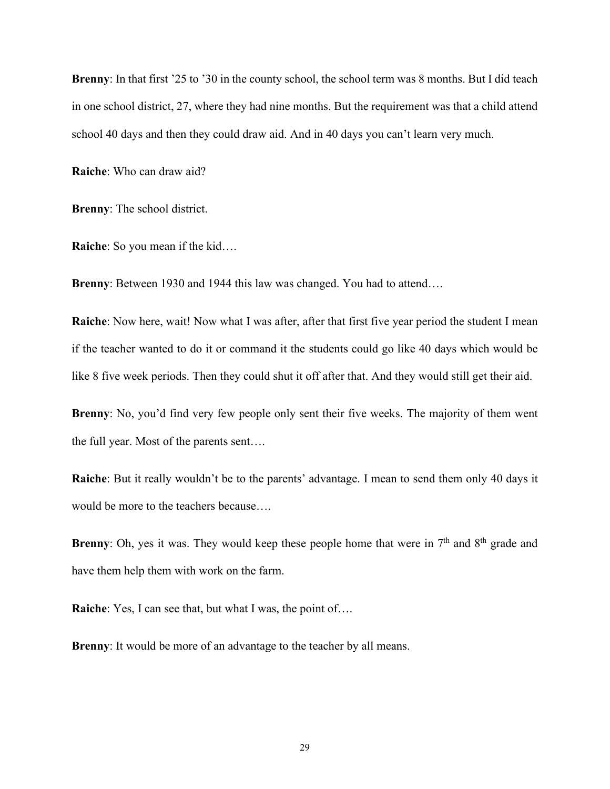**Brenny**: In that first '25 to '30 in the county school, the school term was 8 months. But I did teach in one school district, 27, where they had nine months. But the requirement was that a child attend school 40 days and then they could draw aid. And in 40 days you can't learn very much.

**Raiche**: Who can draw aid?

**Brenny**: The school district.

**Raiche**: So you mean if the kid….

**Brenny**: Between 1930 and 1944 this law was changed. You had to attend….

**Raiche**: Now here, wait! Now what I was after, after that first five year period the student I mean if the teacher wanted to do it or command it the students could go like 40 days which would be like 8 five week periods. Then they could shut it off after that. And they would still get their aid.

**Brenny**: No, you'd find very few people only sent their five weeks. The majority of them went the full year. Most of the parents sent….

**Raiche**: But it really wouldn't be to the parents' advantage. I mean to send them only 40 days it would be more to the teachers because….

**Brenny**: Oh, yes it was. They would keep these people home that were in  $7<sup>th</sup>$  and  $8<sup>th</sup>$  grade and have them help them with work on the farm.

**Raiche:** Yes, I can see that, but what I was, the point of....

**Brenny**: It would be more of an advantage to the teacher by all means.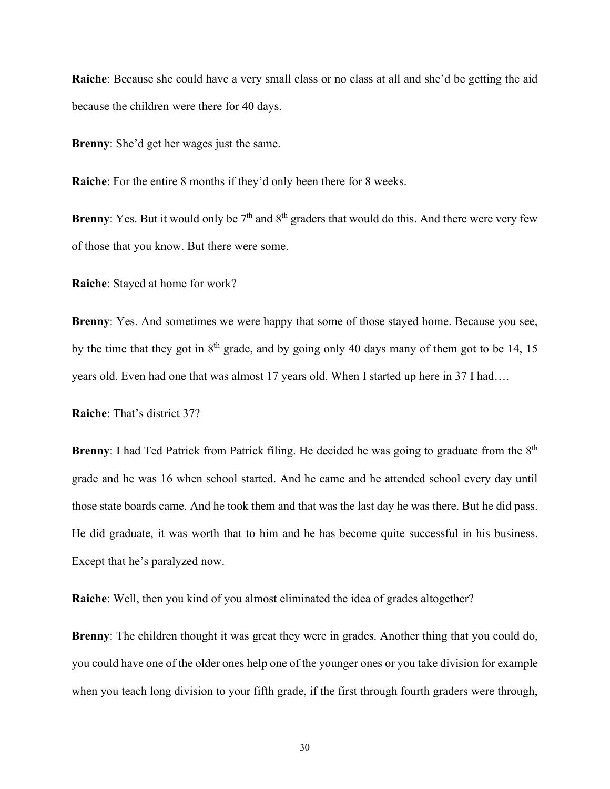**Raiche**: Because she could have a very small class or no class at all and she'd be getting the aid because the children were there for 40 days.

**Brenny**: She'd get her wages just the same.

**Raiche**: For the entire 8 months if they'd only been there for 8 weeks.

**Brenny**: Yes. But it would only be  $7<sup>th</sup>$  and  $8<sup>th</sup>$  graders that would do this. And there were very few of those that you know. But there were some.

**Raiche**: Stayed at home for work?

**Brenny**: Yes. And sometimes we were happy that some of those stayed home. Because you see, by the time that they got in  $8<sup>th</sup>$  grade, and by going only 40 days many of them got to be 14, 15 years old. Even had one that was almost 17 years old. When I started up here in 37 I had….

**Raiche**: That's district 37?

**Brenny**: I had Ted Patrick from Patrick filing. He decided he was going to graduate from the 8<sup>th</sup> grade and he was 16 when school started. And he came and he attended school every day until those state boards came. And he took them and that was the last day he was there. But he did pass. He did graduate, it was worth that to him and he has become quite successful in his business. Except that he's paralyzed now.

**Raiche**: Well, then you kind of you almost eliminated the idea of grades altogether?

**Brenny:** The children thought it was great they were in grades. Another thing that you could do, you could have one of the older ones help one of the younger ones or you take division for example when you teach long division to your fifth grade, if the first through fourth graders were through,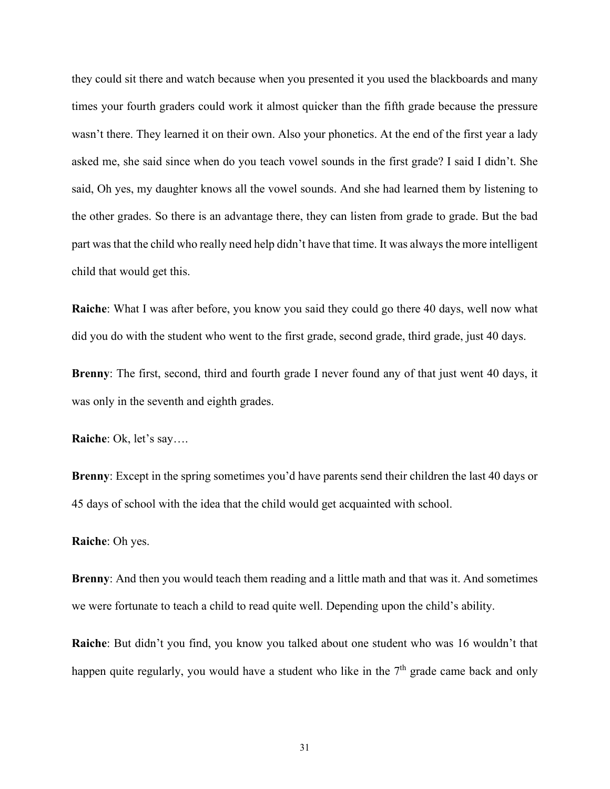they could sit there and watch because when you presented it you used the blackboards and many times your fourth graders could work it almost quicker than the fifth grade because the pressure wasn't there. They learned it on their own. Also your phonetics. At the end of the first year a lady asked me, she said since when do you teach vowel sounds in the first grade? I said I didn't. She said, Oh yes, my daughter knows all the vowel sounds. And she had learned them by listening to the other grades. So there is an advantage there, they can listen from grade to grade. But the bad part was that the child who really need help didn't have that time. It was always the more intelligent child that would get this.

**Raiche**: What I was after before, you know you said they could go there 40 days, well now what did you do with the student who went to the first grade, second grade, third grade, just 40 days.

**Brenny**: The first, second, third and fourth grade I never found any of that just went 40 days, it was only in the seventh and eighth grades.

**Raiche**: Ok, let's say….

**Brenny**: Except in the spring sometimes you'd have parents send their children the last 40 days or 45 days of school with the idea that the child would get acquainted with school.

#### **Raiche**: Oh yes.

**Brenny**: And then you would teach them reading and a little math and that was it. And sometimes we were fortunate to teach a child to read quite well. Depending upon the child's ability.

**Raiche**: But didn't you find, you know you talked about one student who was 16 wouldn't that happen quite regularly, you would have a student who like in the  $7<sup>th</sup>$  grade came back and only